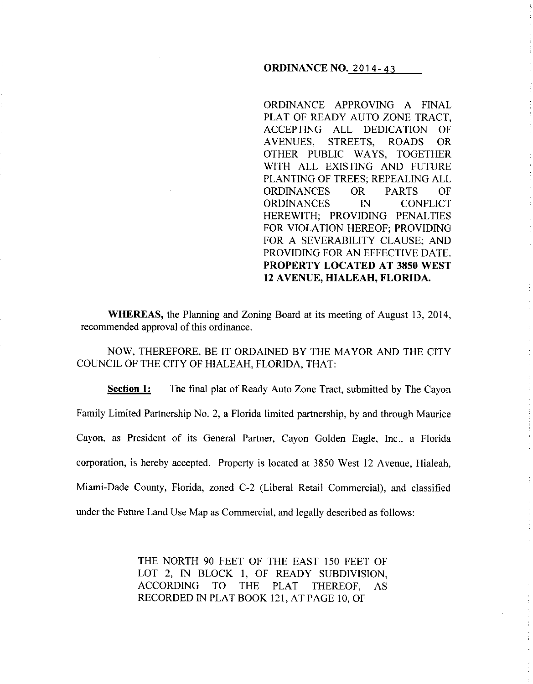### **ORDINANCE NO. 2014-43**

ORDINANCE APPROVING A FINAL PLAT OF READY AUTO ZONE TRACT, ACCEPTING ALL DEDICATION OF A VENUES, STREETS, ROADS OR OTHER PUBLIC WAYS, TOGETHER WITH ALL EXISTING AND FUTURE PLANTING OF TREES; REPEALING ALL ORDINANCES OR PARTS OF ORDINANCES IN CONFLICT HEREWITH; PROVIDING PENALTIES FOR VIOLATION HEREOF; PROVIDING FOR A SEVERABILITY CLAUSE; AND PROVIDING FOR AN EFFECTIVE DATE. **PROPERTY LOCATED AT 3850 WEST 12 A VENUE, HIALEAH, FLORIDA.** 

**WHEREAS,** the Planning and Zoning Board at its meeting of August 13, 2014, recommended approval of this ordinance.

NOW, THEREFORE, BE IT ORDAINED BY THE MAYOR AND THE CITY COUNCIL OF THE CITY OF HIALEAH, FLORIDA, THAT:

**Section 1:** The final plat of Ready Auto Zone Tract, submitted by The Cayon Family Limited Partnership No. 2, a Florida limited partnership, by and through Maurice Cayon, as President of its General Partner, Cayon Golden Eagle, Inc., a Florida corporation, is hereby accepted. Property is located at 3850 West 12 Avenue, Hialeah, Miami-Dade County, Florida, zoned C-2 (Liberal Retail Commercial), and classified under the Future Land Use Map as Commercial, and legally described as follows:

> THE NORTH 90 FEET OF THE EAST 150 FEET OF LOT 2, IN BLOCK I, OF READY SUBDIVISION, ACCORDING TO THE PLAT THEREOF, AS RECORDED IN PLAT BOOK 121, AT PAGE 10, OF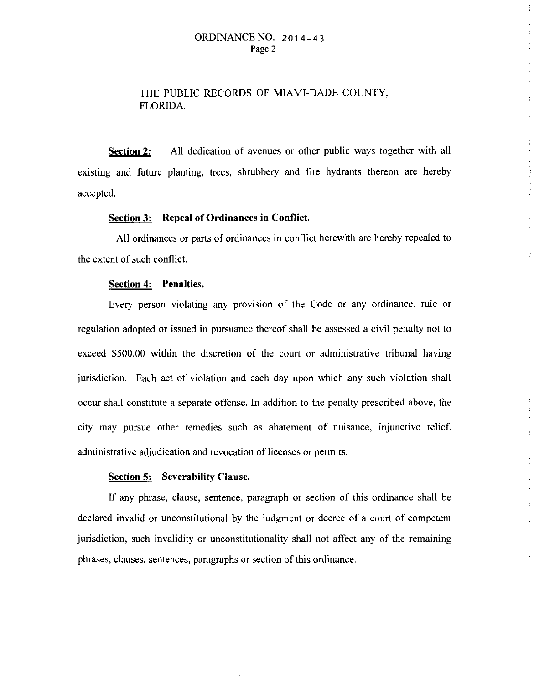## ORDINANCE NO. 2014-43 Page 2

# THE PUBLIC RECORDS OF MIAMI-DADE COUNTY, FLORIDA.

**Section 2:** All dedication of avenues or other public ways together with all existing and future planting, trees, shrubbery and fire hydrants thereon are hereby accepted.

#### **Section 3: Repeal of Ordinances in Conflict.**

All ordinances or parts of ordinances in conflict herewith are hereby repealed to the extent of such conflict.

#### **Section 4: Penalties.**

Every person violating any provision of the Code or any ordinance, rule or regulation adopted or issued in pursuance thereof shall be assessed a civil penalty not to exceed \$500.00 within the discretion of the court or administrative tribunal having jurisdiction. Each act of violation and each day upon which any such violation shall occur shall constitute a separate offense. In addition to the penalty prescribed above, the city may pursue other remedies such as abatement of nuisance, injunctive relief, administrative adjudication and revocation of licenses or permits.

 $\mathcal{L}$ 

#### **Section 5: Severability Clause.**

If any phrase, clause, sentence, paragraph or section of this ordinance shall be declared invalid or unconstitutional by the judgment or decree of a court of competent jurisdiction, such invalidity or unconstitutionality shall not affect any of the remaining phrases, clauses, sentences, paragraphs or section of this ordinance.